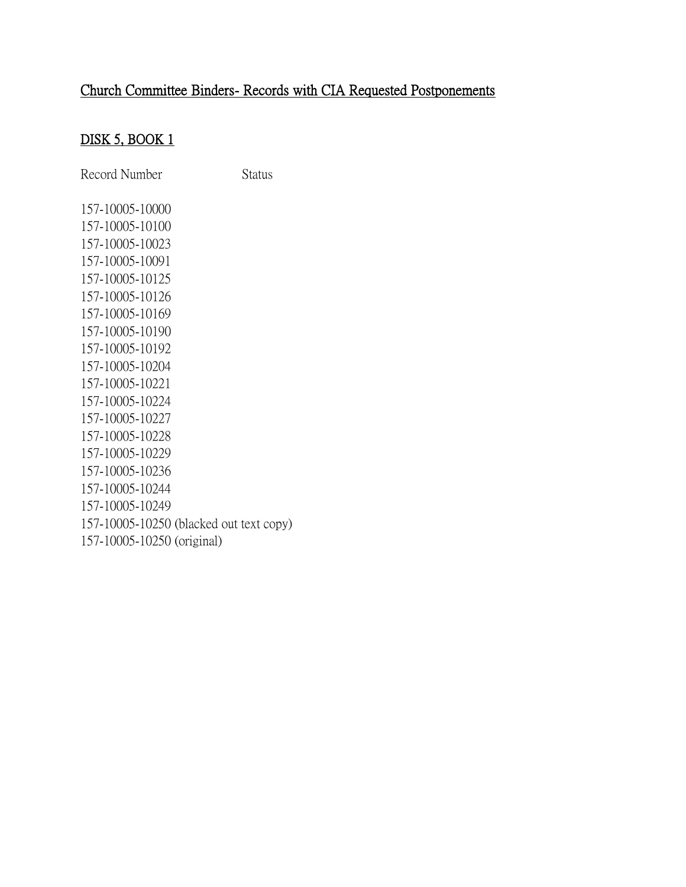### DISK 5, BOOK 1

Record Number Status 157-10005-10000 157-10005-10100 157-10005-10023 157-10005-10091 157-10005-10125 157-10005-10126 157-10005-10169 157-10005-10190 157-10005-10192 157-10005-10204 157-10005-10221 157-10005-10224 157-10005-10227 157-10005-10228 157-10005-10229 157-10005-10236 157-10005-10244 157-10005-10249 157-10005-10250 (blacked out text copy) 157-10005-10250 (original)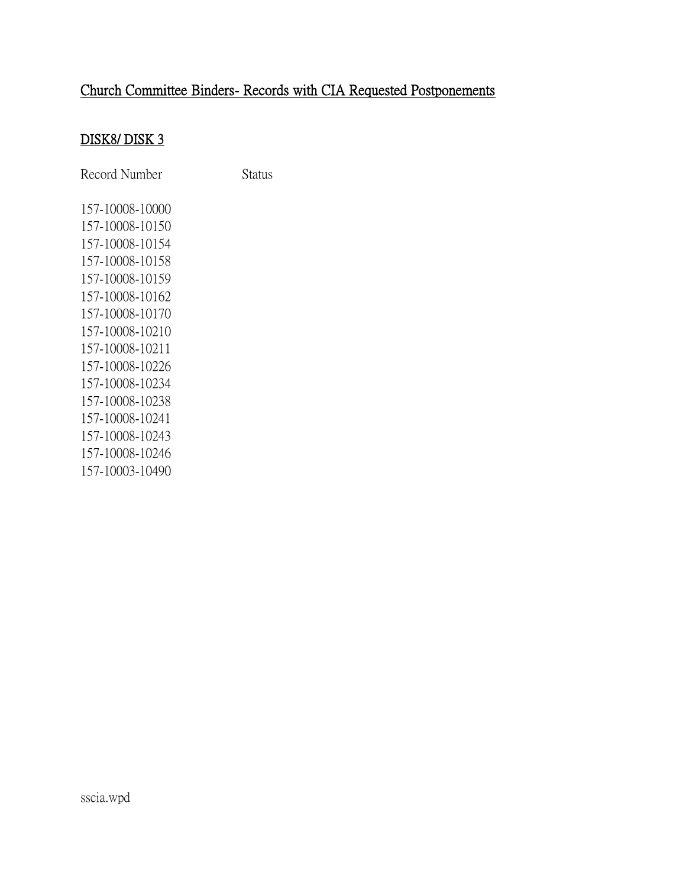### DISK8/ DISK 3

Record Number Status

157-10008-10000 157-10008-10150 157-10008-10154 157-10008-10158 157-10008-10159 157-10008-10162 157-10008-10170 157-10008-10210 157-10008-10211 157-10008-10226 157-10008-10234 157-10008-10238 157-10008-10241 157-10008-10243 157-10008-10246 157-10003-10490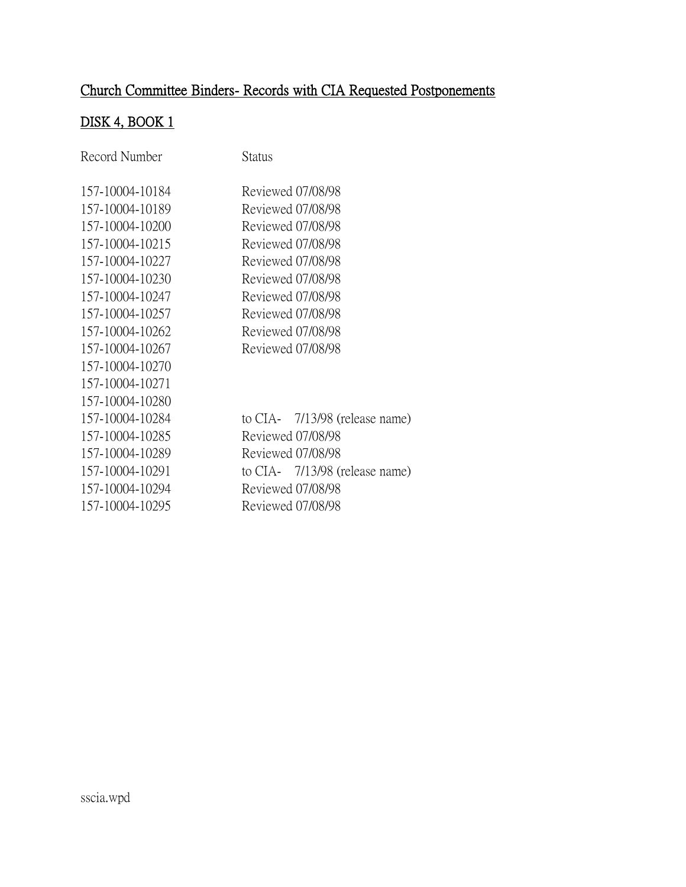## DISK 4, BOOK 1

| Record Number   | Status                         |
|-----------------|--------------------------------|
| 157-10004-10184 | Reviewed 07/08/98              |
| 157-10004-10189 | Reviewed 07/08/98              |
| 157-10004-10200 | Reviewed 07/08/98              |
| 157-10004-10215 | Reviewed 07/08/98              |
| 157-10004-10227 | Reviewed 07/08/98              |
| 157-10004-10230 | Reviewed 07/08/98              |
| 157-10004-10247 | Reviewed 07/08/98              |
| 157-10004-10257 | Reviewed 07/08/98              |
| 157-10004-10262 | Reviewed 07/08/98              |
| 157-10004-10267 | Reviewed 07/08/98              |
| 157-10004-10270 |                                |
| 157-10004-10271 |                                |
| 157-10004-10280 |                                |
| 157-10004-10284 | to CIA- 7/13/98 (release name) |
| 157-10004-10285 | Reviewed 07/08/98              |
| 157-10004-10289 | Reviewed 07/08/98              |
| 157-10004-10291 | to CIA- 7/13/98 (release name) |
| 157-10004-10294 | Reviewed 07/08/98              |
| 157-10004-10295 | Reviewed 07/08/98              |
|                 |                                |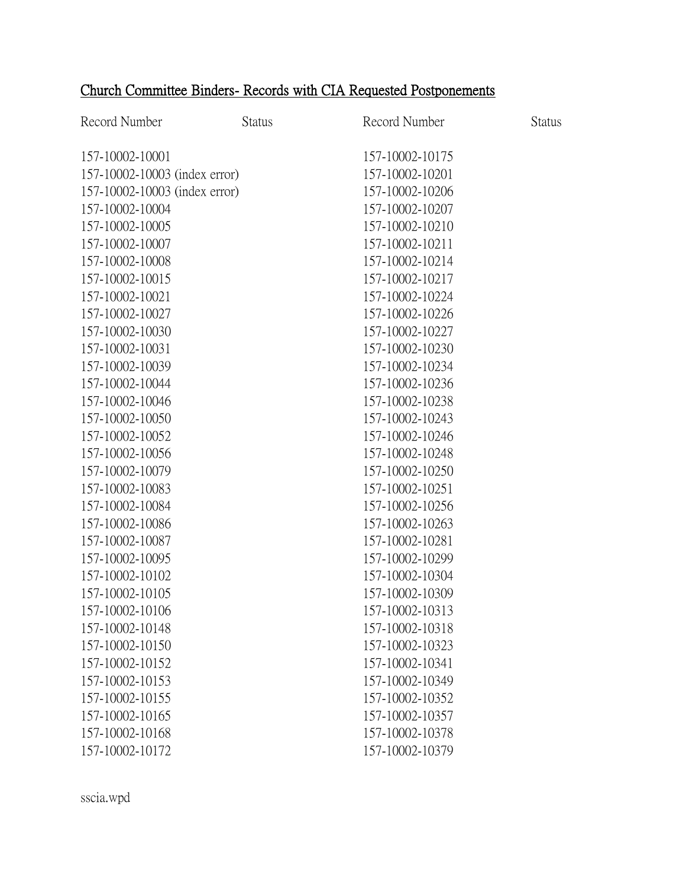| Record Number                 | <b>Status</b> | Record Number   | <b>Status</b> |
|-------------------------------|---------------|-----------------|---------------|
| 157-10002-10001               |               | 157-10002-10175 |               |
| 157-10002-10003 (index error) |               | 157-10002-10201 |               |
| 157-10002-10003 (index error) |               | 157-10002-10206 |               |
| 157-10002-10004               |               | 157-10002-10207 |               |
| 157-10002-10005               |               | 157-10002-10210 |               |
| 157-10002-10007               |               | 157-10002-10211 |               |
| 157-10002-10008               |               | 157-10002-10214 |               |
| 157-10002-10015               |               | 157-10002-10217 |               |
| 157-10002-10021               |               | 157-10002-10224 |               |
| 157-10002-10027               |               | 157-10002-10226 |               |
| 157-10002-10030               |               | 157-10002-10227 |               |
| 157-10002-10031               |               | 157-10002-10230 |               |
| 157-10002-10039               |               | 157-10002-10234 |               |
| 157-10002-10044               |               | 157-10002-10236 |               |
| 157-10002-10046               |               | 157-10002-10238 |               |
| 157-10002-10050               |               | 157-10002-10243 |               |
| 157-10002-10052               |               | 157-10002-10246 |               |
| 157-10002-10056               |               | 157-10002-10248 |               |
| 157-10002-10079               |               | 157-10002-10250 |               |
| 157-10002-10083               |               | 157-10002-10251 |               |
| 157-10002-10084               |               | 157-10002-10256 |               |
| 157-10002-10086               |               | 157-10002-10263 |               |
| 157-10002-10087               |               | 157-10002-10281 |               |
| 157-10002-10095               |               | 157-10002-10299 |               |
| 157-10002-10102               |               | 157-10002-10304 |               |
| 157-10002-10105               |               | 157-10002-10309 |               |
| 157-10002-10106               |               | 157-10002-10313 |               |
| 157-10002-10148               |               | 157-10002-10318 |               |
| 157-10002-10150               |               | 157-10002-10323 |               |
| 157-10002-10152               |               | 157-10002-10341 |               |
| 157-10002-10153               |               | 157-10002-10349 |               |
| 157-10002-10155               |               | 157-10002-10352 |               |
| 157-10002-10165               |               | 157-10002-10357 |               |
| 157-10002-10168               |               | 157-10002-10378 |               |
| 157-10002-10172               |               | 157-10002-10379 |               |

sscia.wpd